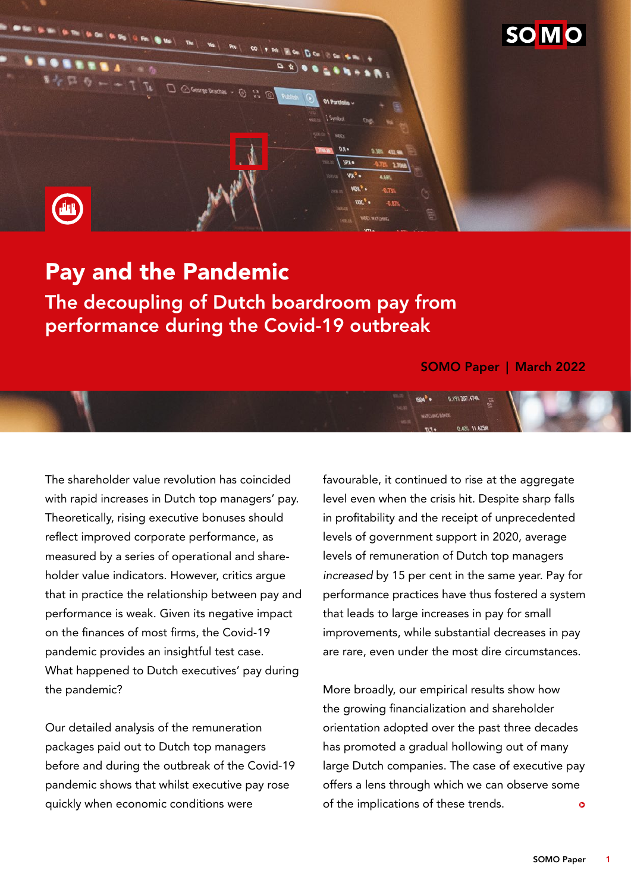

# Pay and the Pandemic

The decoupling of Dutch boardroom pay from performance during the Covid-19 outbreak

### SOMO Paper | March 2022

The shareholder value revolution has coincided with rapid increases in Dutch top managers' pay. Theoretically, rising executive bonuses should reflect improved corporate performance, as measured by a series of operational and shareholder value indicators. However, critics argue that in practice the relationship between pay and performance is weak. Given its negative impact on the finances of most firms, the Covid-19 pandemic provides an insightful test case. What happened to Dutch executives' pay during the pandemic?

Our detailed analysis of the remuneration packages paid out to Dutch top managers before and during the outbreak of the Covid-19 pandemic shows that whilst executive pay rose quickly when economic conditions were

favourable, it continued to rise at the aggregate level even when the crisis hit. Despite sharp falls in profitability and the receipt of unprecedented levels of government support in 2020, average levels of remuneration of Dutch top managers *increased* by 15 per cent in the same year. Pay for performance practices have thus fostered a system that leads to large increases in pay for small improvements, while substantial decreases in pay are rare, even under the most dire circumstances.

0.19% 207 AT4K

More broadly, our empirical results show how the growing financialization and shareholder orientation adopted over the past three decades has promoted a gradual hollowing out of many large Dutch companies. The case of executive pay offers a lens through which we can observe some of the implications of these trends.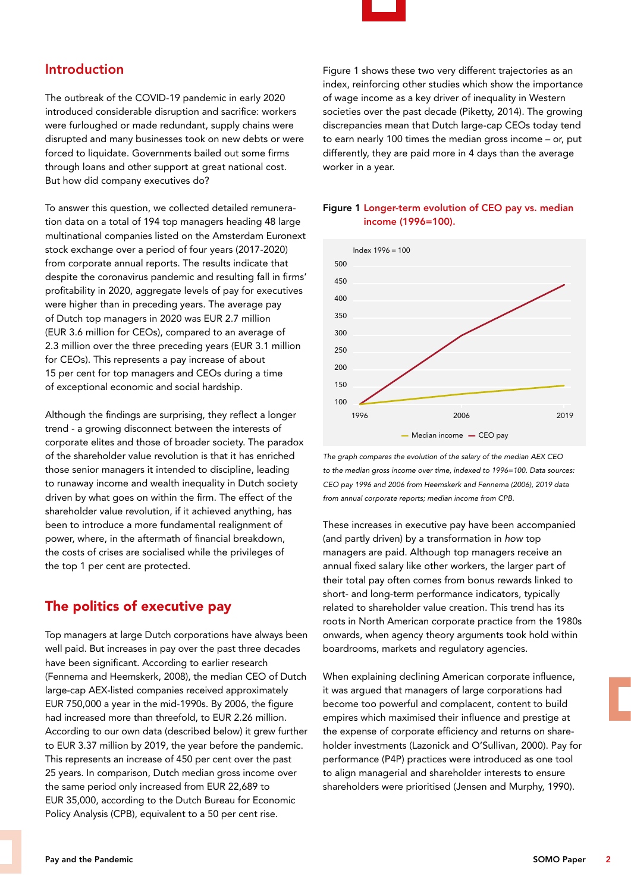

# Introduction

The outbreak of the COVID-19 pandemic in early 2020 introduced considerable disruption and sacrifice: workers were furloughed or made redundant, supply chains were disrupted and many businesses took on new debts or were forced to liquidate. Governments bailed out some firms through loans and other support at great national cost. But how did company executives do?

To answer this question, we collected detailed remuneration data on a total of 194 top managers heading 48 large multinational companies listed on the Amsterdam Euronext stock exchange over a period of four years (2017-2020) from corporate annual reports. The results indicate that despite the coronavirus pandemic and resulting fall in firms' profitability in 2020, aggregate levels of pay for executives were higher than in preceding years. The average pay of Dutch top managers in 2020 was EUR 2.7 million (EUR 3.6 million for CEOs), compared to an average of 2.3 million over the three preceding years (EUR 3.1 million for CEOs). This represents a pay increase of about 15 per cent for top managers and CEOs during a time of exceptional economic and social hardship.

Although the findings are surprising, they reflect a longer trend - a growing disconnect between the interests of corporate elites and those of broader society. The paradox of the shareholder value revolution is that it has enriched those senior managers it intended to discipline, leading to runaway income and wealth inequality in Dutch society driven by what goes on within the firm. The effect of the shareholder value revolution, if it achieved anything, has been to introduce a more fundamental realignment of power, where, in the aftermath of financial breakdown, the costs of crises are socialised while the privileges of the top 1 per cent are protected.

# The politics of executive pay

Top managers at large Dutch corporations have always been well paid. But increases in pay over the past three decades have been significant. According to earlier research (Fennema and Heemskerk, 2008), the median CEO of Dutch large-cap AEX-listed companies received approximately EUR 750,000 a year in the mid-1990s. By 2006, the figure had increased more than threefold, to EUR 2.26 million. According to our own data (described below) it grew further to EUR 3.37 million by 2019, the year before the pandemic. This represents an increase of 450 per cent over the past 25 years. In comparison, Dutch median gross income over the same period only increased from EUR 22,689 to EUR 35,000, according to the Dutch Bureau for Economic Policy Analysis (CPB), equivalent to a 50 per cent rise.

Figure 1 shows these two very different trajectories as an index, reinforcing other studies which show the importance of wage income as a key driver of inequality in Western societies over the past decade (Piketty, 2014). The growing discrepancies mean that Dutch large-cap CEOs today tend to earn nearly 100 times the median gross income – or, put differently, they are paid more in 4 days than the average worker in a year.

### Figure 1 Longer-term evolution of CEO pay vs. median income (1996=100).



*The graph compares the evolution of the salary of the median AEX CEO to the median gross income over time, indexed to 1996=100. Data sources: CEO pay 1996 and 2006 from Heemskerk and Fennema (2006), 2019 data from annual corporate reports; median income from CPB.*

These increases in executive pay have been accompanied (and partly driven) by a transformation in *how* top managers are paid. Although top managers receive an annual fixed salary like other workers, the larger part of their total pay often comes from bonus rewards linked to short- and long-term performance indicators, typically related to shareholder value creation. This trend has its roots in North American corporate practice from the 1980s onwards, when agency theory arguments took hold within boardrooms, markets and regulatory agencies.

When explaining declining American corporate influence, it was argued that managers of large corporations had become too powerful and complacent, content to build empires which maximised their influence and prestige at the expense of corporate efficiency and returns on shareholder investments (Lazonick and O'Sullivan, 2000). Pay for performance (P4P) practices were introduced as one tool to align managerial and shareholder interests to ensure shareholders were prioritised (Jensen and Murphy, 1990).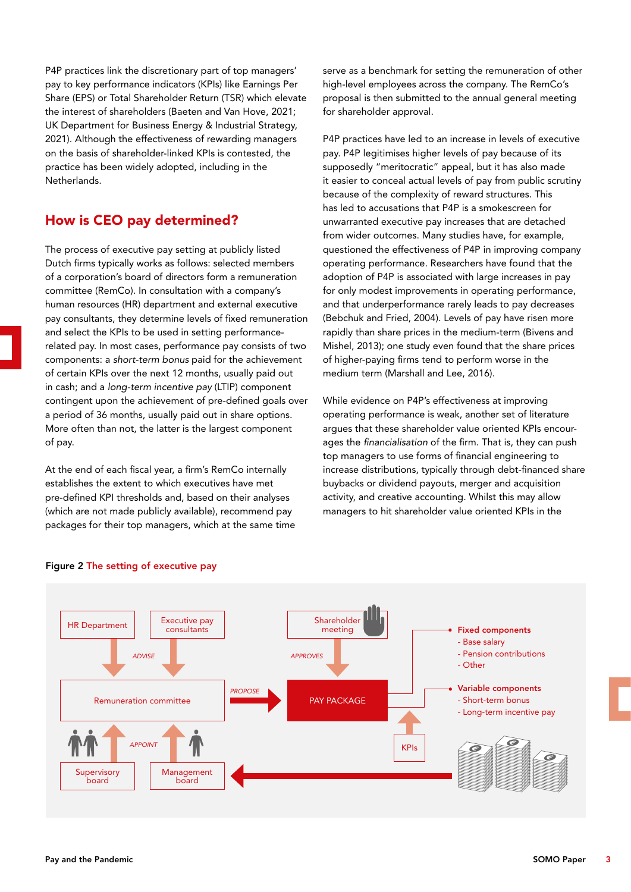P4P practices link the discretionary part of top managers' pay to key performance indicators (KPIs) like Earnings Per Share (EPS) or Total Shareholder Return (TSR) which elevate the interest of shareholders (Baeten and Van Hove, 2021; UK Department for Business Energy & Industrial Strategy, 2021). Although the effectiveness of rewarding managers on the basis of shareholder-linked KPIs is contested, the practice has been widely adopted, including in the Netherlands.

# How is CEO pay determined?

The process of executive pay setting at publicly listed Dutch firms typically works as follows: selected members of a corporation's board of directors form a remuneration committee (RemCo). In consultation with a company's human resources (HR) department and external executive pay consultants, they determine levels of fixed remuneration and select the KPIs to be used in setting performancerelated pay. In most cases, performance pay consists of two components: a *short-term bonus* paid for the achievement of certain KPIs over the next 12 months, usually paid out in cash; and a *long-term incentive pay* (LTIP) component contingent upon the achievement of pre-defined goals over a period of 36 months, usually paid out in share options. More often than not, the latter is the largest component of pay.

At the end of each fiscal year, a firm's RemCo internally establishes the extent to which executives have met pre-defined KPI thresholds and, based on their analyses (which are not made publicly available), recommend pay packages for their top managers, which at the same time serve as a benchmark for setting the remuneration of other high-level employees across the company. The RemCo's proposal is then submitted to the annual general meeting for shareholder approval.

P4P practices have led to an increase in levels of executive pay. P4P legitimises higher levels of pay because of its supposedly "meritocratic" appeal, but it has also made it easier to conceal actual levels of pay from public scrutiny because of the complexity of reward structures. This has led to accusations that P4P is a smokescreen for unwarranted executive pay increases that are detached from wider outcomes. Many studies have, for example, questioned the effectiveness of P4P in improving company operating performance. Researchers have found that the adoption of P4P is associated with large increases in pay for only modest improvements in operating performance, and that underperformance rarely leads to pay decreases (Bebchuk and Fried, 2004). Levels of pay have risen more rapidly than share prices in the medium-term (Bivens and Mishel, 2013); one study even found that the share prices of higher-paying firms tend to perform worse in the medium term (Marshall and Lee, 2016).

While evidence on P4P's effectiveness at improving operating performance is weak, another set of literature argues that these shareholder value oriented KPIs encourages the *financialisation* of the firm. That is, they can push top managers to use forms of financial engineering to increase distributions, typically through debt-financed share buybacks or dividend payouts, merger and acquisition activity, and creative accounting. Whilst this may allow managers to hit shareholder value oriented KPIs in the



#### Figure 2 The setting of executive pay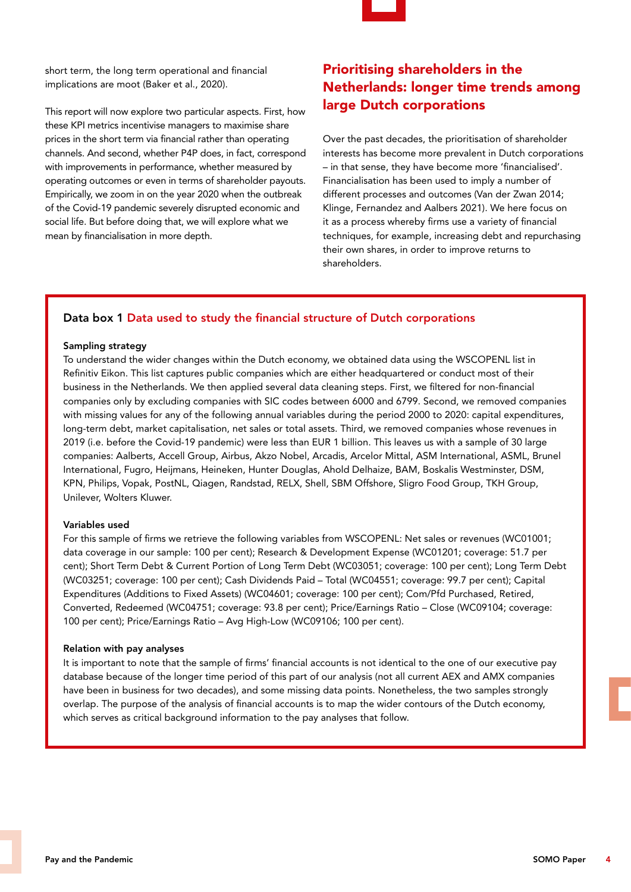

short term, the long term operational and financial implications are moot (Baker et al., 2020).

This report will now explore two particular aspects. First, how these KPI metrics incentivise managers to maximise share prices in the short term via financial rather than operating channels. And second, whether P4P does, in fact, correspond with improvements in performance, whether measured by operating outcomes or even in terms of shareholder payouts. Empirically, we zoom in on the year 2020 when the outbreak of the Covid-19 pandemic severely disrupted economic and social life. But before doing that, we will explore what we mean by financialisation in more depth.

# Prioritising shareholders in the Netherlands: longer time trends among large Dutch corporations

Over the past decades, the prioritisation of shareholder interests has become more prevalent in Dutch corporations – in that sense, they have become more 'financialised'. Financialisation has been used to imply a number of different processes and outcomes (Van der Zwan 2014; Klinge, Fernandez and Aalbers 2021). We here focus on it as a process whereby firms use a variety of financial techniques, for example, increasing debt and repurchasing their own shares, in order to improve returns to shareholders.

### Data box 1 Data used to study the financial structure of Dutch corporations

#### Sampling strategy

To understand the wider changes within the Dutch economy, we obtained data using the WSCOPENL list in Refinitiv Eikon. This list captures public companies which are either headquartered or conduct most of their business in the Netherlands. We then applied several data cleaning steps. First, we filtered for non-financial companies only by excluding companies with SIC codes between 6000 and 6799. Second, we removed companies with missing values for any of the following annual variables during the period 2000 to 2020: capital expenditures, long-term debt, market capitalisation, net sales or total assets. Third, we removed companies whose revenues in 2019 (i.e. before the Covid-19 pandemic) were less than EUR 1 billion. This leaves us with a sample of 30 large companies: Aalberts, Accell Group, Airbus, Akzo Nobel, Arcadis, Arcelor Mittal, ASM International, ASML, Brunel International, Fugro, Heijmans, Heineken, Hunter Douglas, Ahold Delhaize, BAM, Boskalis Westminster, DSM, KPN, Philips, Vopak, PostNL, Qiagen, Randstad, RELX, Shell, SBM Offshore, Sligro Food Group, TKH Group, Unilever, Wolters Kluwer.

#### Variables used

For this sample of firms we retrieve the following variables from WSCOPENL: Net sales or revenues (WC01001; data coverage in our sample: 100 per cent); Research & Development Expense (WC01201; coverage: 51.7 per cent); Short Term Debt & Current Portion of Long Term Debt (WC03051; coverage: 100 per cent); Long Term Debt (WC03251; coverage: 100 per cent); Cash Dividends Paid – Total (WC04551; coverage: 99.7 per cent); Capital Expenditures (Additions to Fixed Assets) (WC04601; coverage: 100 per cent); Com/Pfd Purchased, Retired, Converted, Redeemed (WC04751; coverage: 93.8 per cent); Price/Earnings Ratio – Close (WC09104; coverage: 100 per cent); Price/Earnings Ratio – Avg High-Low (WC09106; 100 per cent).

#### Relation with pay analyses

It is important to note that the sample of firms' financial accounts is not identical to the one of our executive pay database because of the longer time period of this part of our analysis (not all current AEX and AMX companies have been in business for two decades), and some missing data points. Nonetheless, the two samples strongly overlap. The purpose of the analysis of financial accounts is to map the wider contours of the Dutch economy, which serves as critical background information to the pay analyses that follow.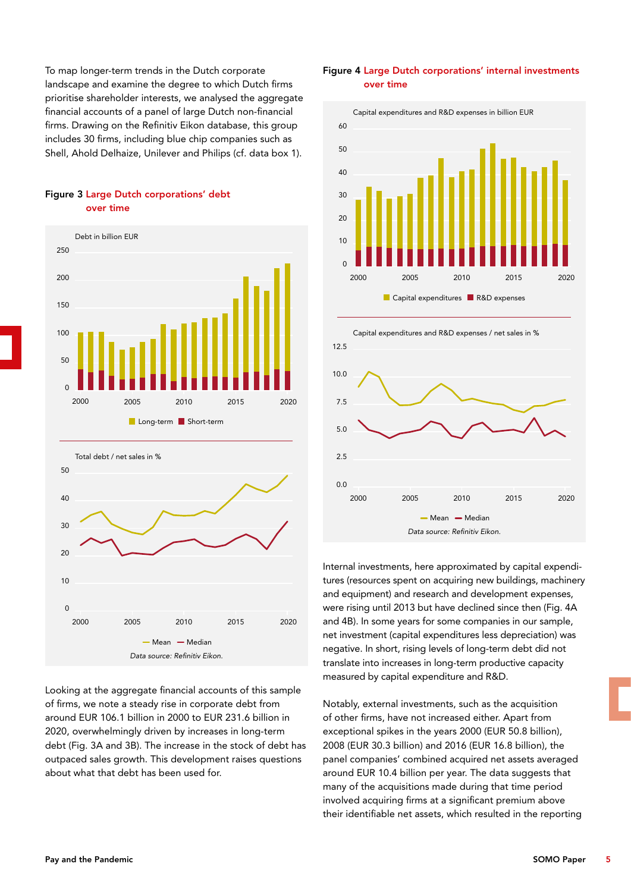To map longer-term trends in the Dutch corporate landscape and examine the degree to which Dutch firms prioritise shareholder interests, we analysed the aggregate financial accounts of a panel of large Dutch non-financial firms. Drawing on the Refinitiv Eikon database, this group includes 30 firms, including blue chip companies such as Shell, Ahold Delhaize, Unilever and Philips (cf. data box 1).

### Figure 3 Large Dutch corporations' debt over time





Looking at the aggregate financial accounts of this sample of firms, we note a steady rise in corporate debt from around EUR 106.1 billion in 2000 to EUR 231.6 billion in 2020, overwhelmingly driven by increases in long-term debt (Fig. 3A and 3B). The increase in the stock of debt has outpaced sales growth. This development raises questions about what that debt has been used for.

Figure 4 Large Dutch corporations' internal investments over time



Capital expenditures and R&D expenses / net sales in % 12.5 10.0 7.5 5.0  $2.5$  $0.0$ *Data source: Refinitiv Eikon.*  $-Mean$  Median 2000 2005 2010 2015 2020

Internal investments, here approximated by capital expenditures (resources spent on acquiring new buildings, machinery and equipment) and research and development expenses, were rising until 2013 but have declined since then (Fig. 4A and 4B). In some years for some companies in our sample, net investment (capital expenditures less depreciation) was negative. In short, rising levels of long-term debt did not translate into increases in long-term productive capacity measured by capital expenditure and R&D.

Notably, external investments, such as the acquisition of other firms, have not increased either. Apart from exceptional spikes in the years 2000 (EUR 50.8 billion), 2008 (EUR 30.3 billion) and 2016 (EUR 16.8 billion), the panel companies' combined acquired net assets averaged around EUR 10.4 billion per year. The data suggests that many of the acquisitions made during that time period involved acquiring firms at a significant premium above their identifiable net assets, which resulted in the reporting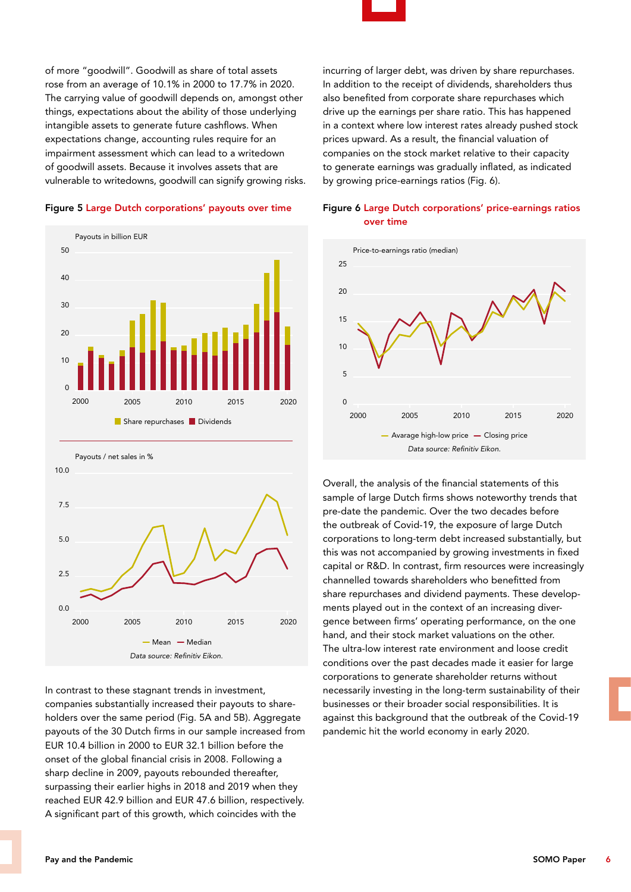of more "goodwill". Goodwill as share of total assets rose from an average of 10.1% in 2000 to 17.7% in 2020. The carrying value of goodwill depends on, amongst other things, expectations about the ability of those underlying intangible assets to generate future cashflows. When expectations change, accounting rules require for an impairment assessment which can lead to a writedown of goodwill assets. Because it involves assets that are vulnerable to writedowns, goodwill can signify growing risks.

#### Figure 5 Large Dutch corporations' payouts over time





In contrast to these stagnant trends in investment, companies substantially increased their payouts to shareholders over the same period (Fig. 5A and 5B). Aggregate payouts of the 30 Dutch firms in our sample increased from EUR 10.4 billion in 2000 to EUR 32.1 billion before the onset of the global financial crisis in 2008. Following a sharp decline in 2009, payouts rebounded thereafter, surpassing their earlier highs in 2018 and 2019 when they reached EUR 42.9 billion and EUR 47.6 billion, respectively. A significant part of this growth, which coincides with the

incurring of larger debt, was driven by share repurchases. In addition to the receipt of dividends, shareholders thus also benefited from corporate share repurchases which drive up the earnings per share ratio. This has happened in a context where low interest rates already pushed stock prices upward. As a result, the financial valuation of companies on the stock market relative to their capacity to generate earnings was gradually inflated, as indicated by growing price-earnings ratios (Fig. 6).



### Figure 6 Large Dutch corporations' price-earnings ratios over time

Overall, the analysis of the financial statements of this sample of large Dutch firms shows noteworthy trends that pre-date the pandemic. Over the two decades before the outbreak of Covid-19, the exposure of large Dutch corporations to long-term debt increased substantially, but this was not accompanied by growing investments in fixed capital or R&D. In contrast, firm resources were increasingly channelled towards shareholders who benefitted from share repurchases and dividend payments. These developments played out in the context of an increasing divergence between firms' operating performance, on the one hand, and their stock market valuations on the other. The ultra-low interest rate environment and loose credit conditions over the past decades made it easier for large corporations to generate shareholder returns without necessarily investing in the long-term sustainability of their businesses or their broader social responsibilities. It is against this background that the outbreak of the Covid-19 pandemic hit the world economy in early 2020.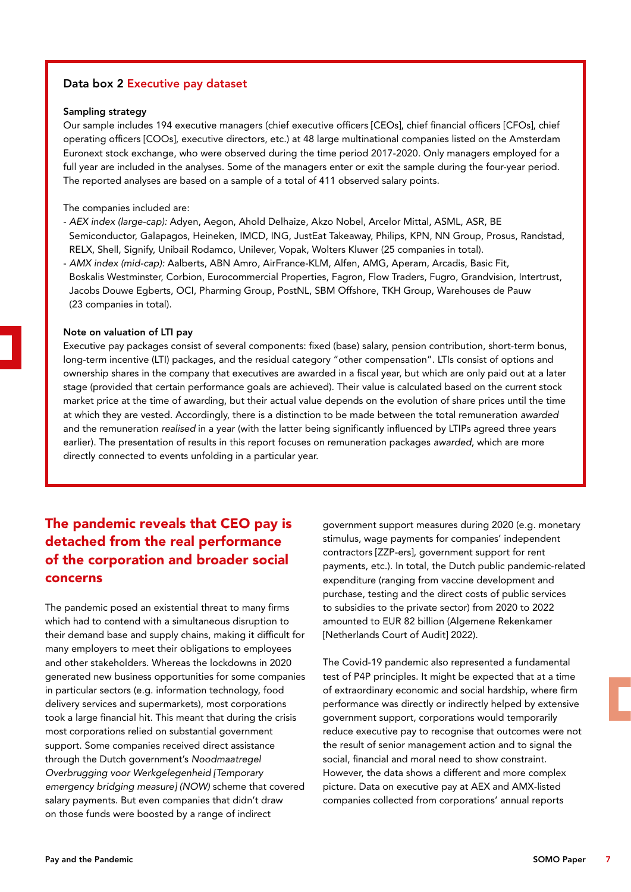### Data box 2 Executive pay dataset

#### Sampling strategy

Our sample includes 194 executive managers (chief executive officers [CEOs], chief financial officers [CFOs], chief operating officers [COOs], executive directors, etc.) at 48 large multinational companies listed on the Amsterdam Euronext stock exchange, who were observed during the time period 2017-2020. Only managers employed for a full year are included in the analyses. Some of the managers enter or exit the sample during the four-year period. The reported analyses are based on a sample of a total of 411 observed salary points.

#### The companies included are:

- *AEX index (large-cap):* Adyen, Aegon, Ahold Delhaize, Akzo Nobel, Arcelor Mittal, ASML, ASR, BE Semiconductor, Galapagos, Heineken, IMCD, ING, JustEat Takeaway, Philips, KPN, NN Group, Prosus, Randstad, RELX, Shell, Signify, Unibail Rodamco, Unilever, Vopak, Wolters Kluwer (25 companies in total).
- *AMX index (mid-cap):* Aalberts, ABN Amro, AirFrance-KLM, Alfen, AMG, Aperam, Arcadis, Basic Fit, Boskalis Westminster, Corbion, Eurocommercial Properties, Fagron, Flow Traders, Fugro, Grandvision, Intertrust, Jacobs Douwe Egberts, OCI, Pharming Group, PostNL, SBM Offshore, TKH Group, Warehouses de Pauw (23 companies in total).

#### Note on valuation of LTI pay

Executive pay packages consist of several components: fixed (base) salary, pension contribution, short-term bonus, long-term incentive (LTI) packages, and the residual category "other compensation". LTIs consist of options and ownership shares in the company that executives are awarded in a fiscal year, but which are only paid out at a later stage (provided that certain performance goals are achieved). Their value is calculated based on the current stock market price at the time of awarding, but their actual value depends on the evolution of share prices until the time at which they are vested. Accordingly, there is a distinction to be made between the total remuneration *awarded* and the remuneration *realised* in a year (with the latter being significantly influenced by LTIPs agreed three years earlier). The presentation of results in this report focuses on remuneration packages *awarded*, which are more directly connected to events unfolding in a particular year.

# The pandemic reveals that CEO pay is detached from the real performance of the corporation and broader social concerns

The pandemic posed an existential threat to many firms which had to contend with a simultaneous disruption to their demand base and supply chains, making it difficult for many employers to meet their obligations to employees and other stakeholders. Whereas the lockdowns in 2020 generated new business opportunities for some companies in particular sectors (e.g. information technology, food delivery services and supermarkets), most corporations took a large financial hit. This meant that during the crisis most corporations relied on substantial government support. Some companies received direct assistance through the Dutch government's *Noodmaatregel Overbrugging voor Werkgelegenheid [Temporary emergency bridging measure] (NOW)* scheme that covered salary payments. But even companies that didn't draw on those funds were boosted by a range of indirect

government support measures during 2020 (e.g. monetary stimulus, wage payments for companies' independent contractors [ZZP-ers], government support for rent payments, etc.). In total, the Dutch public pandemic-related expenditure (ranging from vaccine development and purchase, testing and the direct costs of public services to subsidies to the private sector) from 2020 to 2022 amounted to EUR 82 billion (Algemene Rekenkamer [Netherlands Court of Audit] 2022).

The Covid-19 pandemic also represented a fundamental test of P4P principles. It might be expected that at a time of extraordinary economic and social hardship, where firm performance was directly or indirectly helped by extensive government support, corporations would temporarily reduce executive pay to recognise that outcomes were not the result of senior management action and to signal the social, financial and moral need to show constraint. However, the data shows a different and more complex picture. Data on executive pay at AEX and AMX-listed companies collected from corporations' annual reports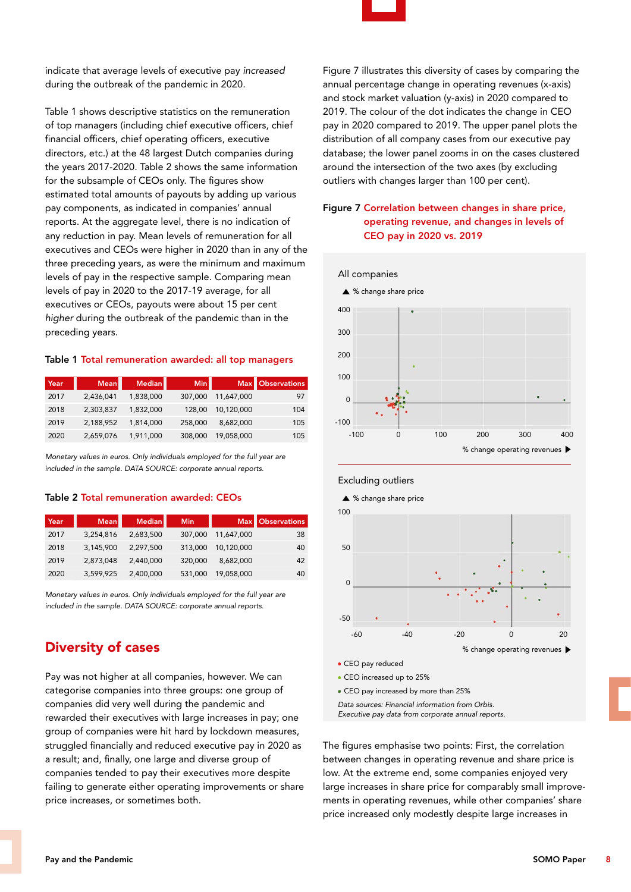

indicate that average levels of executive pay *increased* during the outbreak of the pandemic in 2020.

Table 1 shows descriptive statistics on the remuneration of top managers (including chief executive officers, chief financial officers, chief operating officers, executive directors, etc.) at the 48 largest Dutch companies during the years 2017-2020. Table 2 shows the same information for the subsample of CEOs only. The figures show estimated total amounts of payouts by adding up various pay components, as indicated in companies' annual reports. At the aggregate level, there is no indication of any reduction in pay. Mean levels of remuneration for all executives and CEOs were higher in 2020 than in any of the three preceding years, as were the minimum and maximum levels of pay in the respective sample. Comparing mean levels of pay in 2020 to the 2017-19 average, for all executives or CEOs, payouts were about 15 per cent *higher* during the outbreak of the pandemic than in the preceding years.

#### Table 1 Total remuneration awarded: all top managers

| Year | <b>Mean</b> | Median    | Min     |            | Max Observations |
|------|-------------|-----------|---------|------------|------------------|
| 2017 | 2,436,041   | 1,838,000 | 307,000 | 11,647,000 | 97               |
| 2018 | 2.303.837   | 1.832.000 | 128.00  | 10.120.000 | 104              |
| 2019 | 2,188,952   | 1,814,000 | 258,000 | 8,682,000  | 105              |
| 2020 | 2,659,076   | 1,911,000 | 308,000 | 19,058,000 | 105              |

*Monetary values in euros. Only individuals employed for the full year are included in the sample. DATA SOURCE: corporate annual reports.*

#### Table 2 Total remuneration awarded: CEOs

| Year/ | Mean      | Median    | <b>Min</b> |            | Max Observations |
|-------|-----------|-----------|------------|------------|------------------|
| 2017  | 3,254,816 | 2,683,500 | 307,000    | 11,647,000 | 38               |
| 2018  | 3.145.900 | 2,297,500 | 313,000    | 10.120.000 | 40               |
| 2019  | 2.873.048 | 2.440.000 | 320,000    | 8,682,000  | 42               |
| 2020  | 3,599,925 | 2,400,000 | 531,000    | 19,058,000 | 40               |

*Monetary values in euros. Only individuals employed for the full year are included in the sample. DATA SOURCE: corporate annual reports.*

## Diversity of cases

Pay was not higher at all companies, however. We can categorise companies into three groups: one group of companies did very well during the pandemic and rewarded their executives with large increases in pay; one group of companies were hit hard by lockdown measures, struggled financially and reduced executive pay in 2020 as a result; and, finally, one large and diverse group of companies tended to pay their executives more despite failing to generate either operating improvements or share price increases, or sometimes both.

Figure 7 illustrates this diversity of cases by comparing the annual percentage change in operating revenues (x-axis) and stock market valuation (y-axis) in 2020 compared to 2019. The colour of the dot indicates the change in CEO pay in 2020 compared to 2019. The upper panel plots the distribution of all company cases from our executive pay database; the lower panel zooms in on the cases clustered around the intersection of the two axes (by excluding outliers with changes larger than 100 per cent).

### Figure 7 Correlation between changes in share price, operating revenue, and changes in levels of CEO pay in 2020 vs. 2019



#### Excluding outliers



CEO increased up to 25%

CEO pay increased by more than 25%

*Data sources: Financial information from Orbis. Executive pay data from corporate annual reports.* 

The figures emphasise two points: First, the correlation between changes in operating revenue and share price is low. At the extreme end, some companies enjoyed very large increases in share price for comparably small improvements in operating revenues, while other companies' share price increased only modestly despite large increases in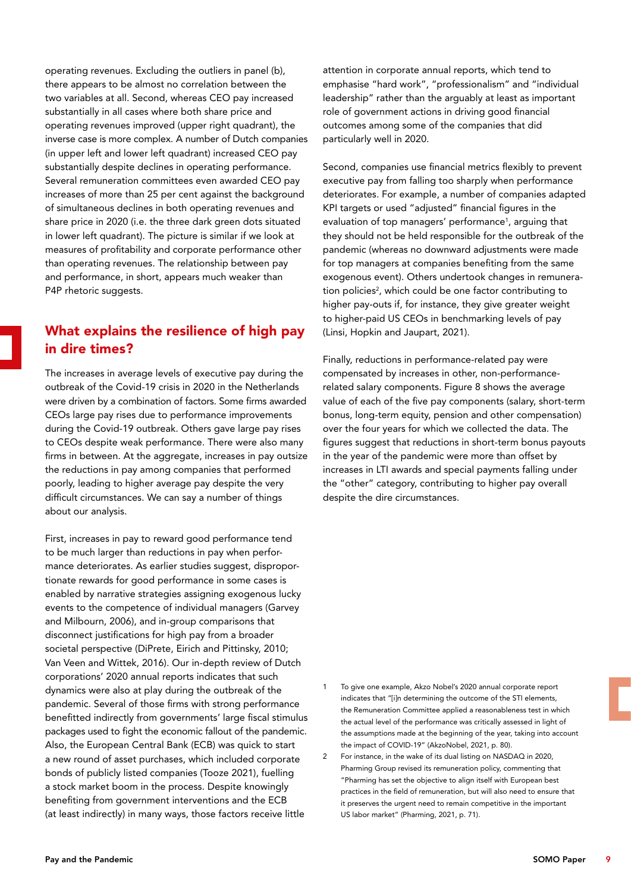operating revenues. Excluding the outliers in panel (b), there appears to be almost no correlation between the two variables at all. Second, whereas CEO pay increased substantially in all cases where both share price and operating revenues improved (upper right quadrant), the inverse case is more complex. A number of Dutch companies (in upper left and lower left quadrant) increased CEO pay substantially despite declines in operating performance. Several remuneration committees even awarded CEO pay increases of more than 25 per cent against the background of simultaneous declines in both operating revenues and share price in 2020 (i.e. the three dark green dots situated in lower left quadrant). The picture is similar if we look at measures of profitability and corporate performance other than operating revenues. The relationship between pay and performance, in short, appears much weaker than P4P rhetoric suggests.

# What explains the resilience of high pay in dire times?

The increases in average levels of executive pay during the outbreak of the Covid-19 crisis in 2020 in the Netherlands were driven by a combination of factors. Some firms awarded CEOs large pay rises due to performance improvements during the Covid-19 outbreak. Others gave large pay rises to CEOs despite weak performance. There were also many firms in between. At the aggregate, increases in pay outsize the reductions in pay among companies that performed poorly, leading to higher average pay despite the very difficult circumstances. We can say a number of things about our analysis.

First, increases in pay to reward good performance tend to be much larger than reductions in pay when performance deteriorates. As earlier studies suggest, disproportionate rewards for good performance in some cases is enabled by narrative strategies assigning exogenous lucky events to the competence of individual managers (Garvey and Milbourn, 2006), and in-group comparisons that disconnect justifications for high pay from a broader societal perspective (DiPrete, Eirich and Pittinsky, 2010; Van Veen and Wittek, 2016). Our in-depth review of Dutch corporations' 2020 annual reports indicates that such dynamics were also at play during the outbreak of the pandemic. Several of those firms with strong performance benefitted indirectly from governments' large fiscal stimulus packages used to fight the economic fallout of the pandemic. Also, the European Central Bank (ECB) was quick to start a new round of asset purchases, which included corporate bonds of publicly listed companies (Tooze 2021), fuelling a stock market boom in the process. Despite knowingly benefiting from government interventions and the ECB (at least indirectly) in many ways, those factors receive little

attention in corporate annual reports, which tend to emphasise "hard work", "professionalism" and "individual leadership" rather than the arguably at least as important role of government actions in driving good financial outcomes among some of the companies that did particularly well in 2020.

Second, companies use financial metrics flexibly to prevent executive pay from falling too sharply when performance deteriorates. For example, a number of companies adapted KPI targets or used "adjusted" financial figures in the evaluation of top managers' performance<sup>1</sup>, arguing that they should not be held responsible for the outbreak of the pandemic (whereas no downward adjustments were made for top managers at companies benefiting from the same exogenous event). Others undertook changes in remuneration policies<sup>2</sup>, which could be one factor contributing to higher pay-outs if, for instance, they give greater weight to higher-paid US CEOs in benchmarking levels of pay (Linsi, Hopkin and Jaupart, 2021).

Finally, reductions in performance-related pay were compensated by increases in other, non-performancerelated salary components. Figure 8 shows the average value of each of the five pay components (salary, short-term bonus, long-term equity, pension and other compensation) over the four years for which we collected the data. The figures suggest that reductions in short-term bonus payouts in the year of the pandemic were more than offset by increases in LTI awards and special payments falling under the "other" category, contributing to higher pay overall despite the dire circumstances.

- 1 To give one example, Akzo Nobel's 2020 annual corporate report indicates that "[i]n determining the outcome of the STI elements, the Remuneration Committee applied a reasonableness test in which the actual level of the performance was critically assessed in light of the assumptions made at the beginning of the year, taking into account the impact of COVID-19" (AkzoNobel, 2021, p. 80).
- 2 For instance, in the wake of its dual listing on NASDAQ in 2020, Pharming Group revised its remuneration policy, commenting that "Pharming has set the objective to align itself with European best practices in the field of remuneration, but will also need to ensure that it preserves the urgent need to remain competitive in the important US labor market" (Pharming, 2021, p. 71).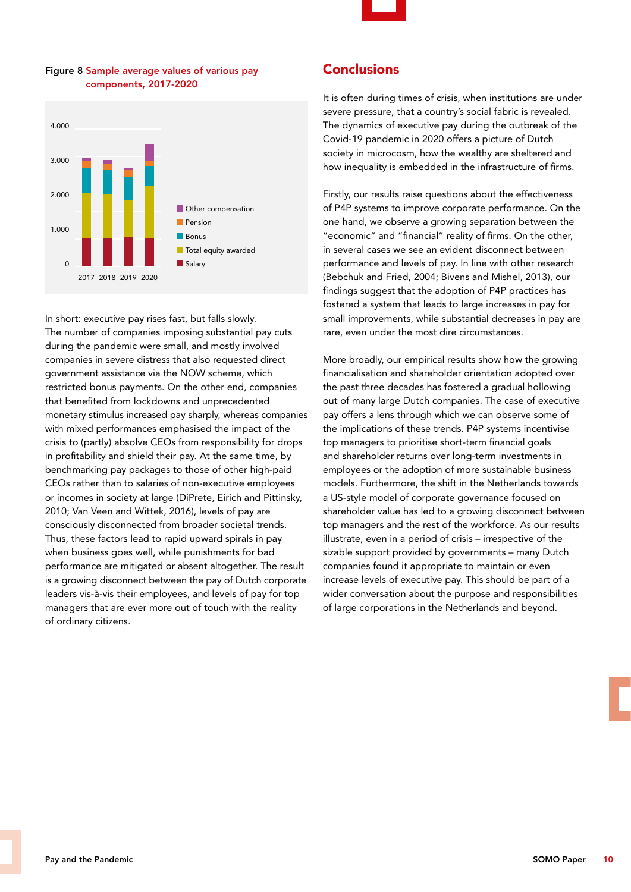

### Figure 8 Sample average values of various pay components, 2017-2020



In short: executive pay rises fast, but falls slowly. The number of companies imposing substantial pay cuts during the pandemic were small, and mostly involved companies in severe distress that also requested direct government assistance via the NOW scheme, which restricted bonus payments. On the other end, companies that benefited from lockdowns and unprecedented monetary stimulus increased pay sharply, whereas companies with mixed performances emphasised the impact of the crisis to (partly) absolve CEOs from responsibility for drops in profitability and shield their pay. At the same time, by benchmarking pay packages to those of other high-paid CEOs rather than to salaries of non-executive employees or incomes in society at large (DiPrete, Eirich and Pittinsky, 2010; Van Veen and Wittek, 2016), levels of pay are consciously disconnected from broader societal trends. Thus, these factors lead to rapid upward spirals in pay when business goes well, while punishments for bad performance are mitigated or absent altogether. The result is a growing disconnect between the pay of Dutch corporate leaders vis-à-vis their employees, and levels of pay for top managers that are ever more out of touch with the reality of ordinary citizens.

## Conclusions

It is often during times of crisis, when institutions are under severe pressure, that a country's social fabric is revealed. The dynamics of executive pay during the outbreak of the Covid-19 pandemic in 2020 offers a picture of Dutch society in microcosm, how the wealthy are sheltered and how inequality is embedded in the infrastructure of firms.

Firstly, our results raise questions about the effectiveness of P4P systems to improve corporate performance. On the one hand, we observe a growing separation between the "economic" and "financial" reality of firms. On the other, in several cases we see an evident disconnect between performance and levels of pay. In line with other research (Bebchuk and Fried, 2004; Bivens and Mishel, 2013), our findings suggest that the adoption of P4P practices has fostered a system that leads to large increases in pay for small improvements, while substantial decreases in pay are rare, even under the most dire circumstances.

More broadly, our empirical results show how the growing financialisation and shareholder orientation adopted over the past three decades has fostered a gradual hollowing out of many large Dutch companies. The case of executive pay offers a lens through which we can observe some of the implications of these trends. P4P systems incentivise top managers to prioritise short-term financial goals and shareholder returns over long-term investments in employees or the adoption of more sustainable business models. Furthermore, the shift in the Netherlands towards a US-style model of corporate governance focused on shareholder value has led to a growing disconnect between top managers and the rest of the workforce. As our results illustrate, even in a period of crisis – irrespective of the sizable support provided by governments – many Dutch companies found it appropriate to maintain or even increase levels of executive pay. This should be part of a wider conversation about the purpose and responsibilities of large corporations in the Netherlands and beyond.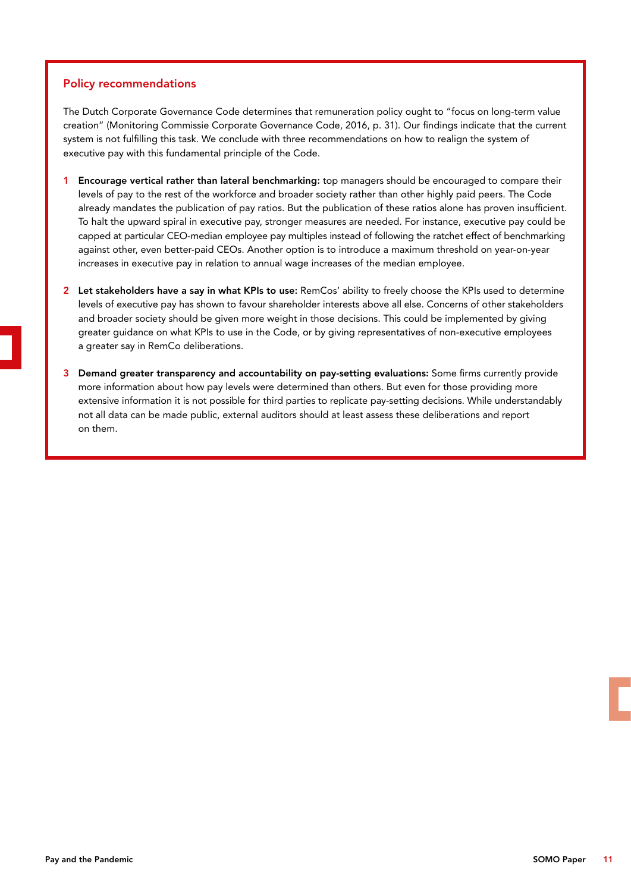### Policy recommendations

The Dutch Corporate Governance Code determines that remuneration policy ought to "focus on long-term value creation" (Monitoring Commissie Corporate Governance Code, 2016, p. 31). Our findings indicate that the current system is not fulfilling this task. We conclude with three recommendations on how to realign the system of executive pay with this fundamental principle of the Code.

- 1 Encourage vertical rather than lateral benchmarking: top managers should be encouraged to compare their levels of pay to the rest of the workforce and broader society rather than other highly paid peers. The Code already mandates the publication of pay ratios. But the publication of these ratios alone has proven insufficient. To halt the upward spiral in executive pay, stronger measures are needed. For instance, executive pay could be capped at particular CEO-median employee pay multiples instead of following the ratchet effect of benchmarking against other, even better-paid CEOs. Another option is to introduce a maximum threshold on year-on-year increases in executive pay in relation to annual wage increases of the median employee.
- 2 Let stakeholders have a say in what KPIs to use: RemCos' ability to freely choose the KPIs used to determine levels of executive pay has shown to favour shareholder interests above all else. Concerns of other stakeholders and broader society should be given more weight in those decisions. This could be implemented by giving greater guidance on what KPIs to use in the Code, or by giving representatives of non-executive employees a greater say in RemCo deliberations.
- 3 Demand greater transparency and accountability on pay-setting evaluations: Some firms currently provide more information about how pay levels were determined than others. But even for those providing more extensive information it is not possible for third parties to replicate pay-setting decisions. While understandably not all data can be made public, external auditors should at least assess these deliberations and report on them.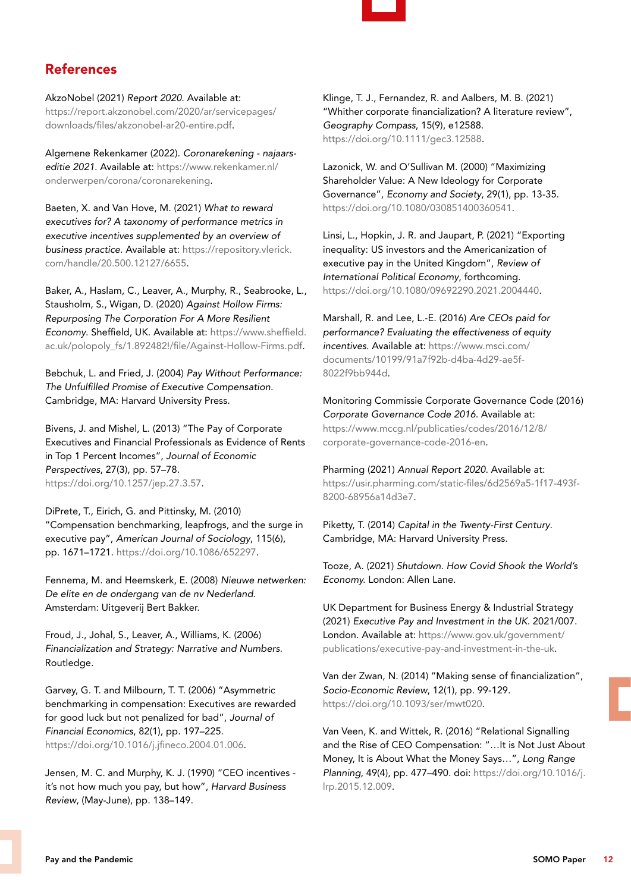

# References

AkzoNobel (2021) *Report 2020*. Available at: [https://report.akzonobel.com/2020/ar/servicepages/](https://report.akzonobel.com/2020/ar/servicepages/downloads/files/akzonobel-ar20-entire.pdf) [downloads/files/akzonobel-ar20-entire.pdf.](https://report.akzonobel.com/2020/ar/servicepages/downloads/files/akzonobel-ar20-entire.pdf)

Algemene Rekenkamer (2022). *Coronarekening - najaarseditie 2021*. Available at: [https://www.rekenkamer.nl/](https://www.rekenkamer.nl/onderwerpen/corona/coronarekening) [onderwerpen/corona/coronarekening](https://www.rekenkamer.nl/onderwerpen/corona/coronarekening).

Baeten, X. and Van Hove, M. (2021) *What to reward executives for? A taxonomy of performance metrics in executive incentives supplemented by an overview of business practice*. Available at: [https://repository.vlerick.](https://repository.vlerick.com/handle/20.500.12127/6655) [com/handle/20.500.12127/6655.](https://repository.vlerick.com/handle/20.500.12127/6655)

Baker, A., Haslam, C., Leaver, A., Murphy, R., Seabrooke, L., Stausholm, S., Wigan, D. (2020) *Against Hollow Firms: Repurposing The Corporation For A More Resilient Economy*. Sheffield, UK. Available at: [https://www.sheffield.](https://www.sheffield.ac.uk/polopoly_fs/1.892482!/file/Against-Hollow-Firms.pdf) [ac.uk/polopoly\\_fs/1.892482!/file/Against-Hollow-Firms.pdf](https://www.sheffield.ac.uk/polopoly_fs/1.892482!/file/Against-Hollow-Firms.pdf).

Bebchuk, L. and Fried, J. (2004) *Pay Without Performance: The Unfulfilled Promise of Executive Compensation*. Cambridge, MA: Harvard University Press.

Bivens, J. and Mishel, L. (2013) "The Pay of Corporate Executives and Financial Professionals as Evidence of Rents in Top 1 Percent Incomes", *Journal of Economic Perspectives*, 27(3), pp. 57–78. <https://doi.org/10.1257/jep.27.3.57>.

DiPrete, T., Eirich, G. and Pittinsky, M. (2010) "Compensation benchmarking, leapfrogs, and the surge in executive pay", *American Journal of Sociology*, 115(6), pp. 1671–1721. [https://doi.org/10.1086/652297.](https://doi.org/10.1086/652297)

Fennema, M. and Heemskerk, E. (2008) *Nieuwe netwerken: De elite en de ondergang van de nv Nederland*. Amsterdam: Uitgeverij Bert Bakker.

Froud, J., Johal, S., Leaver, A., Williams, K. (2006) *Financialization and Strategy: Narrative and Numbers*. Routledge.

Garvey, G. T. and Milbourn, T. T. (2006) "Asymmetric benchmarking in compensation: Executives are rewarded for good luck but not penalized for bad", *Journal of Financial Economics*, 82(1), pp. 197–225. [https://doi.org/10.1016/j.jfineco.2004.01.006.](https://doi.org/10.1016/j.jfineco.2004.01.006)

Jensen, M. C. and Murphy, K. J. (1990) "CEO incentives it's not how much you pay, but how", *Harvard Business Review*, (May-June), pp. 138–149.

Klinge, T. J., Fernandez, R. and Aalbers, M. B. (2021) "Whither corporate financialization? A literature review", *Geography Compass*, 15(9), e12588. [https://doi.org/10.1111/gec3.12588.](https://doi.org/10.1111/gec3.12588)

Lazonick, W. and O'Sullivan M. (2000) "Maximizing Shareholder Value: A New Ideology for Corporate Governance", *Economy and Society*, 29(1), pp. 13-35. [https://doi.org/10.1080/030851400360541.](https://doi.org/10.1080/030851400360541)

Linsi, L., Hopkin, J. R. and Jaupart, P. (2021) "Exporting inequality: US investors and the Americanization of executive pay in the United Kingdom", *Review of International Political Economy*, forthcoming. [https://doi.org/10.1080/09692290.2021.2004440.](https://doi.org/10.1080/09692290.2021.2004440)

Marshall, R. and Lee, L.-E. (2016) *Are CEOs paid for performance? Evaluating the effectiveness of equity incentives*. Available at: [https://www.msci.com/](https://www.msci.com/documents/10199/91a7f92b-d4ba-4d29-ae5f-8022f9bb944d) [documents/10199/91a7f92b-d4ba-4d29-ae5f-](https://www.msci.com/documents/10199/91a7f92b-d4ba-4d29-ae5f-8022f9bb944d)[8022f9bb944d.](https://www.msci.com/documents/10199/91a7f92b-d4ba-4d29-ae5f-8022f9bb944d)

Monitoring Commissie Corporate Governance Code (2016) *Corporate Governance Code 2016*. Available at: [https://www.mccg.nl/publicaties/codes/2016/12/8/](https://www.mccg.nl/publicaties/codes/2016/12/8/corporate-governance-code-2016-en) [corporate-governance-code-2016-en](https://www.mccg.nl/publicaties/codes/2016/12/8/corporate-governance-code-2016-en).

Pharming (2021) *Annual Report 2020*. Available at: https://usir.pharming.com/static-files/6d2569a5-1f17-493f-8200-68956a14d3e7.

Piketty, T. (2014) *Capital in the Twenty-First Century*. Cambridge, MA: Harvard University Press.

Tooze, A. (2021) *Shutdown. How Covid Shook the World's Economy.* London: Allen Lane.

UK Department for Business Energy & Industrial Strategy (2021) *Executive Pay and Investment in the UK*. 2021/007. London. Available at: https://www.gov.uk/government/ publications/executive-pay-and-investment-in-the-uk.

Van der Zwan, N. (2014) "Making sense of financialization", *Socio-Economic Review*, 12(1), pp. 99-129. <https://doi.org/10.1093/ser/mwt020>.

Van Veen, K. and Wittek, R. (2016) "Relational Signalling and the Rise of CEO Compensation: "…It is Not Just About Money, It is About What the Money Says…", *Long Range Planning*, 49(4), pp. 477–490. doi: [https://doi.org/10.1016/j.](https://doi.org/10.1016/j.lrp.2015.12.009) [lrp.2015.12.009.](https://doi.org/10.1016/j.lrp.2015.12.009)